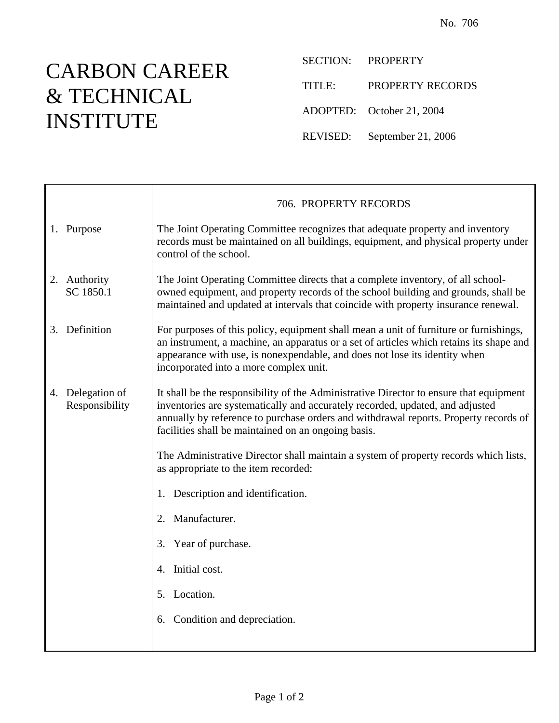## CARBON CAREER & TECHNICAL INSTITUTE

 $\top$ 

 $\overline{\Gamma}$ 

SECTION: PROPERTY

TITLE: PROPERTY RECORDS

ADOPTED: October 21, 2004

REVISED: September 21, 2006

|                                    | 706. PROPERTY RECORDS                                                                                                                                                                                                                                                                                                  |
|------------------------------------|------------------------------------------------------------------------------------------------------------------------------------------------------------------------------------------------------------------------------------------------------------------------------------------------------------------------|
| 1. Purpose                         | The Joint Operating Committee recognizes that adequate property and inventory<br>records must be maintained on all buildings, equipment, and physical property under<br>control of the school.                                                                                                                         |
| 2. Authority<br>SC 1850.1          | The Joint Operating Committee directs that a complete inventory, of all school-<br>owned equipment, and property records of the school building and grounds, shall be<br>maintained and updated at intervals that coincide with property insurance renewal.                                                            |
| 3. Definition                      | For purposes of this policy, equipment shall mean a unit of furniture or furnishings,<br>an instrument, a machine, an apparatus or a set of articles which retains its shape and<br>appearance with use, is nonexpendable, and does not lose its identity when<br>incorporated into a more complex unit.               |
| 4. Delegation of<br>Responsibility | It shall be the responsibility of the Administrative Director to ensure that equipment<br>inventories are systematically and accurately recorded, updated, and adjusted<br>annually by reference to purchase orders and withdrawal reports. Property records of<br>facilities shall be maintained on an ongoing basis. |
|                                    | The Administrative Director shall maintain a system of property records which lists,<br>as appropriate to the item recorded:                                                                                                                                                                                           |
|                                    | 1. Description and identification.                                                                                                                                                                                                                                                                                     |
|                                    | 2. Manufacturer.                                                                                                                                                                                                                                                                                                       |
|                                    | 3. Year of purchase.                                                                                                                                                                                                                                                                                                   |
|                                    | 4. Initial cost.                                                                                                                                                                                                                                                                                                       |
|                                    | 5. Location.                                                                                                                                                                                                                                                                                                           |
|                                    | 6. Condition and depreciation.                                                                                                                                                                                                                                                                                         |
|                                    |                                                                                                                                                                                                                                                                                                                        |